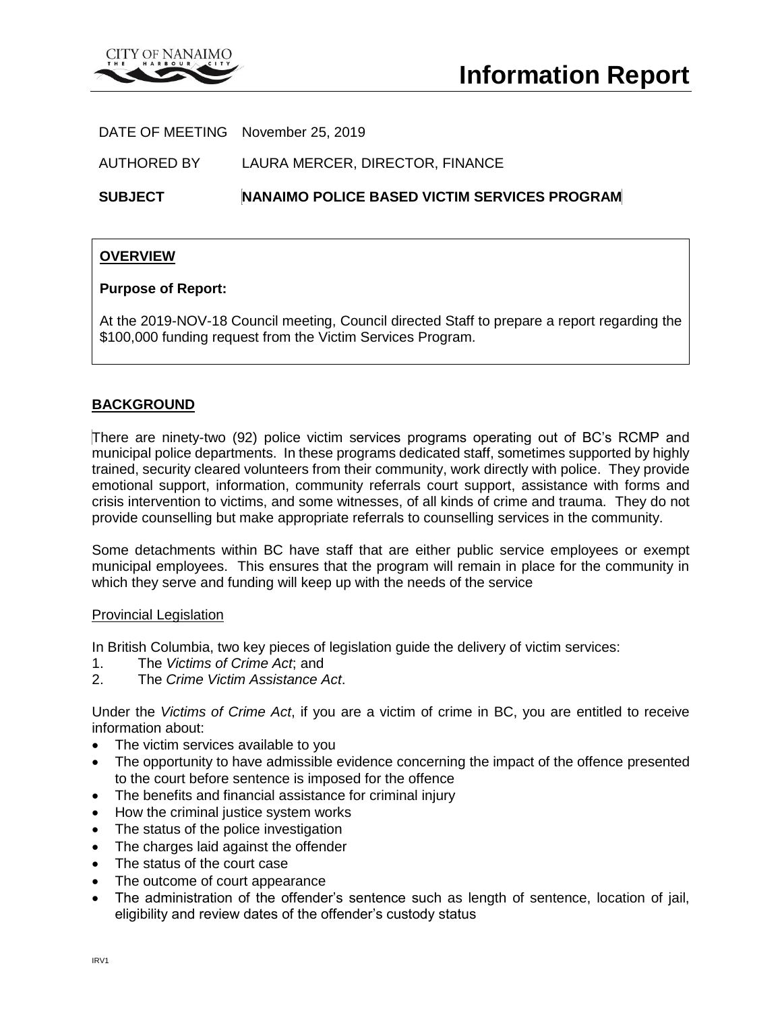

DATE OF MEETING November 25, 2019

AUTHORED BY LAURA MERCER, DIRECTOR, FINANCE

**SUBJECT NANAIMO POLICE BASED VICTIM SERVICES PROGRAM**

# **OVERVIEW**

## **Purpose of Report:**

At the 2019-NOV-18 Council meeting, Council directed Staff to prepare a report regarding the \$100,000 funding request from the Victim Services Program.

# **BACKGROUND**

There are ninety-two (92) police victim services programs operating out of BC's RCMP and municipal police departments. In these programs dedicated staff, sometimes supported by highly trained, security cleared volunteers from their community, work directly with police. They provide emotional support, information, community referrals court support, assistance with forms and crisis intervention to victims, and some witnesses, of all kinds of crime and trauma. They do not provide counselling but make appropriate referrals to counselling services in the community.

Some detachments within BC have staff that are either public service employees or exempt municipal employees. This ensures that the program will remain in place for the community in which they serve and funding will keep up with the needs of the service

### Provincial Legislation

In British Columbia, two key pieces of legislation guide the delivery of victim services:

- 1. The *Victims of Crime Act*; and
- 2. The *Crime Victim Assistance Act*.

Under the *Victims of Crime Act*, if you are a victim of crime in BC, you are entitled to receive information about:

- The victim services available to you
- The opportunity to have admissible evidence concerning the impact of the offence presented to the court before sentence is imposed for the offence
- The benefits and financial assistance for criminal injury
- How the criminal justice system works
- The status of the police investigation
- The charges laid against the offender
- The status of the court case
- The outcome of court appearance
- The administration of the offender's sentence such as length of sentence, location of jail, eligibility and review dates of the offender's custody status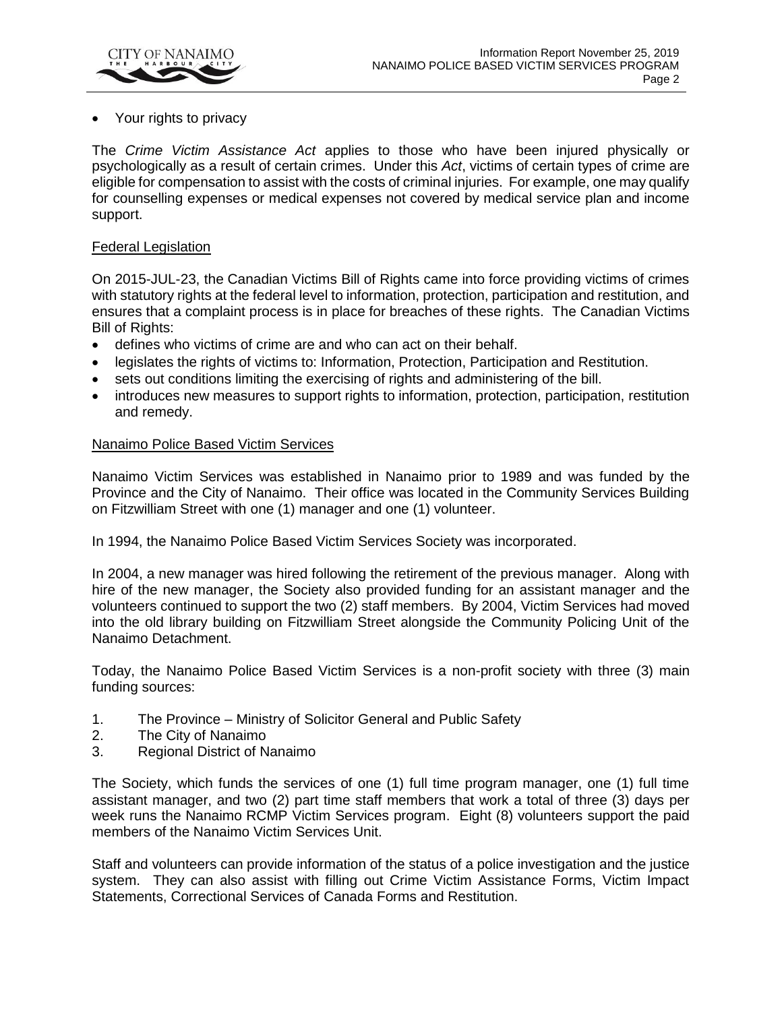

• Your rights to privacy

The *Crime Victim Assistance Act* applies to those who have been injured physically or psychologically as a result of certain crimes. Under this *Act*, victims of certain types of crime are eligible for compensation to assist with the costs of criminal injuries. For example, one may qualify for counselling expenses or medical expenses not covered by medical service plan and income support.

### Federal Legislation

On 2015-JUL-23, the Canadian Victims Bill of Rights came into force providing victims of crimes with statutory rights at the federal level to information, protection, participation and restitution, and ensures that a complaint process is in place for breaches of these rights. The Canadian Victims Bill of Rights:

- defines who victims of crime are and who can act on their behalf.
- legislates the rights of victims to: Information, Protection, Participation and Restitution.
- sets out conditions limiting the exercising of rights and administering of the bill.
- introduces new measures to support rights to information, protection, participation, restitution and remedy.

### Nanaimo Police Based Victim Services

Nanaimo Victim Services was established in Nanaimo prior to 1989 and was funded by the Province and the City of Nanaimo. Their office was located in the Community Services Building on Fitzwilliam Street with one (1) manager and one (1) volunteer.

In 1994, the Nanaimo Police Based Victim Services Society was incorporated.

In 2004, a new manager was hired following the retirement of the previous manager. Along with hire of the new manager, the Society also provided funding for an assistant manager and the volunteers continued to support the two (2) staff members. By 2004, Victim Services had moved into the old library building on Fitzwilliam Street alongside the Community Policing Unit of the Nanaimo Detachment.

Today, the Nanaimo Police Based Victim Services is a non-profit society with three (3) main funding sources:

- 1. The Province Ministry of Solicitor General and Public Safety
- 2. The City of Nanaimo
- 3. Regional District of Nanaimo

The Society, which funds the services of one (1) full time program manager, one (1) full time assistant manager, and two (2) part time staff members that work a total of three (3) days per week runs the Nanaimo RCMP Victim Services program. Eight (8) volunteers support the paid members of the Nanaimo Victim Services Unit.

Staff and volunteers can provide information of the status of a police investigation and the justice system. They can also assist with filling out Crime Victim Assistance Forms, Victim Impact Statements, Correctional Services of Canada Forms and Restitution.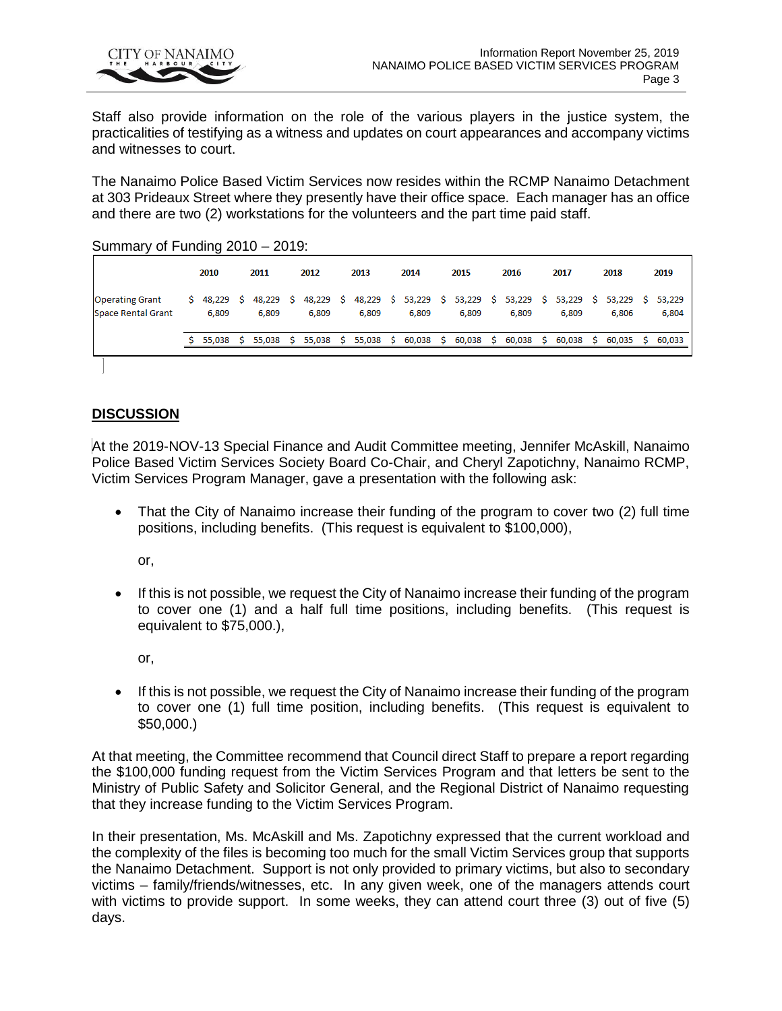

Staff also provide information on the role of the various players in the justice system, the practicalities of testifying as a witness and updates on court appearances and accompany victims and witnesses to court.

The Nanaimo Police Based Victim Services now resides within the RCMP Nanaimo Detachment at 303 Prideaux Street where they presently have their office space. Each manager has an office and there are two (2) workstations for the volunteers and the part time paid staff.

Summary of Funding 2010 – 2019:

|                                                     | 2010  | 2011                                                                                                         | 2012  | 2013  | 2014  | 2015  | 2016  | 2017  | 2018  | 2019  |
|-----------------------------------------------------|-------|--------------------------------------------------------------------------------------------------------------|-------|-------|-------|-------|-------|-------|-------|-------|
| <b>Operating Grant</b><br><b>Space Rental Grant</b> | 6,809 | \$ 48,229 \$ 48,229 \$ 48,229 \$ 48,229 \$ 53,229 \$ 53,229 \$ 53,229 \$ 53,229 \$ 53,229 \$ 53,229<br>6.809 | 6.809 | 6.809 | 6.809 | 6,809 | 6.809 | 6.809 | 6.806 | 6,804 |
|                                                     |       | \$ 55,038 \$ 55,038 \$ 55,038 \$ 55,038 \$ 60,038 \$ 60,038 \$ 60,038 \$ 60,038 \$ 60,035 \$ 60,033          |       |       |       |       |       |       |       |       |

## **DISCUSSION**

At the 2019-NOV-13 Special Finance and Audit Committee meeting, Jennifer McAskill, Nanaimo Police Based Victim Services Society Board Co-Chair, and Cheryl Zapotichny, Nanaimo RCMP, Victim Services Program Manager, gave a presentation with the following ask:

 That the City of Nanaimo increase their funding of the program to cover two (2) full time positions, including benefits. (This request is equivalent to \$100,000),

or,

• If this is not possible, we request the City of Nanaimo increase their funding of the program to cover one (1) and a half full time positions, including benefits. (This request is equivalent to \$75,000.),

or,

 If this is not possible, we request the City of Nanaimo increase their funding of the program to cover one (1) full time position, including benefits. (This request is equivalent to \$50,000.)

At that meeting, the Committee recommend that Council direct Staff to prepare a report regarding the \$100,000 funding request from the Victim Services Program and that letters be sent to the Ministry of Public Safety and Solicitor General, and the Regional District of Nanaimo requesting that they increase funding to the Victim Services Program.

In their presentation, Ms. McAskill and Ms. Zapotichny expressed that the current workload and the complexity of the files is becoming too much for the small Victim Services group that supports the Nanaimo Detachment. Support is not only provided to primary victims, but also to secondary victims – family/friends/witnesses, etc. In any given week, one of the managers attends court with victims to provide support. In some weeks, they can attend court three (3) out of five (5) days.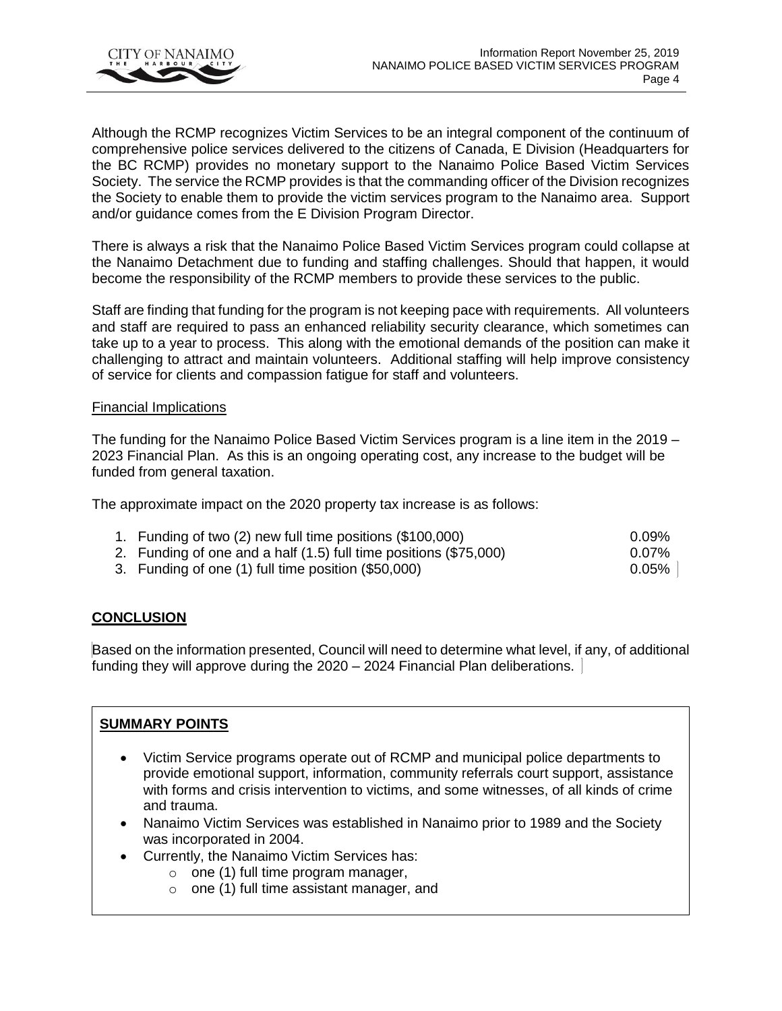

Although the RCMP recognizes Victim Services to be an integral component of the continuum of comprehensive police services delivered to the citizens of Canada, E Division (Headquarters for the BC RCMP) provides no monetary support to the Nanaimo Police Based Victim Services Society. The service the RCMP provides is that the commanding officer of the Division recognizes the Society to enable them to provide the victim services program to the Nanaimo area. Support and/or guidance comes from the E Division Program Director.

There is always a risk that the Nanaimo Police Based Victim Services program could collapse at the Nanaimo Detachment due to funding and staffing challenges. Should that happen, it would become the responsibility of the RCMP members to provide these services to the public.

Staff are finding that funding for the program is not keeping pace with requirements. All volunteers and staff are required to pass an enhanced reliability security clearance, which sometimes can take up to a year to process. This along with the emotional demands of the position can make it challenging to attract and maintain volunteers. Additional staffing will help improve consistency of service for clients and compassion fatigue for staff and volunteers.

### Financial Implications

The funding for the Nanaimo Police Based Victim Services program is a line item in the 2019 – 2023 Financial Plan. As this is an ongoing operating cost, any increase to the budget will be funded from general taxation.

The approximate impact on the 2020 property tax increase is as follows:

| 1. Funding of two (2) new full time positions (\$100,000)         | 0.09%    |
|-------------------------------------------------------------------|----------|
| 2. Funding of one and a half (1.5) full time positions (\$75,000) | 0.07%    |
| 3. Funding of one (1) full time position (\$50,000)               | $0.05\%$ |

# **CONCLUSION**

Based on the information presented, Council will need to determine what level, if any, of additional funding they will approve during the 2020 – 2024 Financial Plan deliberations.

# **SUMMARY POINTS**

- Victim Service programs operate out of RCMP and municipal police departments to provide emotional support, information, community referrals court support, assistance with forms and crisis intervention to victims, and some witnesses, of all kinds of crime and trauma.
- Nanaimo Victim Services was established in Nanaimo prior to 1989 and the Society was incorporated in 2004.
- Currently, the Nanaimo Victim Services has:
	- $\circ$  one (1) full time program manager,
	- o one (1) full time assistant manager, and